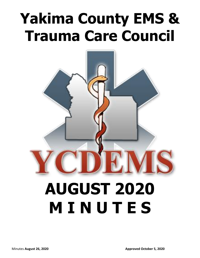# **Yakima County EMS & Trauma Care Council**



# **AUGUST 2020 M I N U T E S**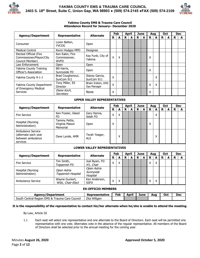



#### **Yakima County EMS & Trauma Care Council Attendance Record for January– December 2020**

| <b>Agency/Department</b>                                                          | Feb<br><b>Alternate</b>                         |                                      |                    | <b>April</b>       |   | <b>June</b>  |             |      | Aug                |                    | Oct |            | <b>Dec</b> |            |
|-----------------------------------------------------------------------------------|-------------------------------------------------|--------------------------------------|--------------------|--------------------|---|--------------|-------------|------|--------------------|--------------------|-----|------------|------------|------------|
|                                                                                   | Representative                                  |                                      | R                  | A                  | R | A            | R.          | A    | R                  | A                  | R   | A          | R          | A          |
| Consumer                                                                          | Loren Belton,<br><b>YVCOG</b>                   | Open                                 |                    |                    |   |              |             |      |                    |                    |     |            |            |            |
| <b>Medical Control</b>                                                            | Kevin Hodges MPD                                | Designee                             |                    |                    |   |              |             |      |                    |                    |     |            |            |            |
| <b>Elected Official (Fire</b><br>Commissioner/Mayor/City<br>Council Member)       | Ken Eakin, Fire<br>Commissioner,<br><b>WVFD</b> | Kay Funk, City of<br>Yakima          | $\mathsf{X}$       | X                  |   |              |             |      | X                  |                    |     |            |            |            |
| Law Enforcement                                                                   | Open                                            | Open                                 |                    |                    |   |              |             |      |                    |                    |     |            |            |            |
| <b>Yakima County Training</b><br>Officer's Association                            | Bill Harris,<br>Sunnyside FD                    | Open                                 |                    |                    |   |              |             |      | X                  |                    |     |            |            |            |
| Yakima County 9-1-1                                                               | Brad Coughenour,<br>SunCom 911                  | Stacey Garcia,<br>SunCom 911         | $\pmb{\mathsf{X}}$ |                    |   |              |             |      |                    | X                  |     |            |            |            |
| Yakima County Department<br>of Emergency Medical                                  | Tony Miller, ES<br>Director                     | Brian Ireton, EMS<br>Ops Manager     | $\mathsf{X}$       |                    |   |              |             |      | $\pmb{\mathsf{X}}$ | $\pmb{\mathsf{X}}$ |     |            |            |            |
| <b>Services</b>                                                                   | Diane Koch,<br>Secretary                        | None                                 | X                  |                    |   |              |             |      | X                  |                    |     |            |            |            |
| <b>UPPER VALLEY REPRESENTATIVES</b>                                               |                                                 |                                      |                    |                    |   |              |             |      |                    |                    |     |            |            |            |
|                                                                                   |                                                 |                                      |                    | Feb                |   | <b>April</b> | <b>June</b> |      |                    | Aua                |     | <b>Oct</b> |            | <b>Dec</b> |
| <b>Agency/Department</b>                                                          | Representative                                  | <b>Alternate</b>                     | R                  | A                  | R | A            | R           | A    | R                  | A                  | R.  | A          | R          | A          |
| <b>Fire Service</b>                                                               | Ken Frazier, Gleed<br><b>FD</b>                 | Gary Hanna,<br>Selah FD              | X                  | X                  |   |              |             |      |                    | Χ                  |     |            |            |            |
| Hospital (Nursing<br>Administration)                                              | Tammy Pettis,<br>Virginia Mason<br>Memorial     | Open                                 | X                  |                    |   |              |             |      | Χ                  |                    |     |            |            |            |
| <b>Ambulance Service</b><br>(alternate each year<br>between ambulance<br>services | Dave Lynde, AMR                                 | Terah Yeager,<br><b>ALS</b>          |                    | x                  |   |              |             |      |                    | х                  |     |            |            |            |
|                                                                                   |                                                 | <b>LOWER VALLEY REPRESENTATIVES</b>  |                    |                    |   |              |             |      |                    |                    |     |            |            |            |
| <b>Agency/Department</b>                                                          | Representative                                  | <b>Alternate</b>                     |                    | Feb                |   | <b>April</b> | <b>June</b> |      |                    | Aug                |     | Oct        |            | <b>Dec</b> |
|                                                                                   |                                                 |                                      | R                  | A                  | R | A            | R           | A    | $\mathbf R$        | A                  | R   | A          | R          | A          |
| <b>Fire Service</b>                                                               | Tim Smith,<br>Toppenish FD                      | Joel Byam, FD<br>#5, Chair           | $\overline{X}$     | $\pmb{\mathsf{X}}$ |   |              |             |      | $\pmb{\mathsf{X}}$ | $\mathsf{x}$       |     |            |            |            |
| Hospital (Nursing<br>Administration)                                              | Open Astria<br>Toppenish Hospital               | Open Astria<br>Sunnyside<br>Hospital |                    |                    |   |              |             |      |                    |                    |     |            |            |            |
| Ambulance Service                                                                 | Wayne Guckert,<br>WSA, Chair-Elect              | Ken Anderson,<br><b>SSFD</b>         | X                  | X                  |   |              |             |      | X                  | $\pmb{\mathsf{X}}$ |     |            |            |            |
|                                                                                   |                                                 | <b>EX-OFFICIO MEMBERS</b>            |                    |                    |   |              |             |      |                    |                    |     |            |            |            |
| <b>Agency/Department</b>                                                          |                                                 | Representative                       |                    | Feb                |   | <b>April</b> |             | June |                    | Aug                |     | Oct        |            | <b>Dec</b> |
| South Central Region EMS & Trauma Care Council                                    |                                                 | Zita Wiltgen                         |                    |                    |   |              |             |      |                    |                    |     |            |            |            |

**It is the responsibility of the representative to contact his/her alternate when he/she is unable to attend the meeting.**

By-Law, Article III

1.1 Each seat will select one representative and one alternate to the Board of Directors. Each seat will be permitted one representative with one vote. Alternates vote in the absence of the regular representative. All members of the Board of Directors shall be selected prior to the annual meeting for the coming year.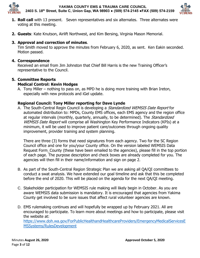



- **1. Roll call** with 13 present. Seven representatives and six alternates. Three alternates were voting at this meeting.
- **2. Guests**: Kate Knutson, Airlift Northwest, and Kim Bersing, Virginia Mason Memorial.

# **3. Approval and correction of minutes**.

Tim Smith moved to approve the minutes from February 6, 2020, as sent. Ken Eakin seconded. Motion passed.

## **4. Correspondence**

Received an email from Jim Johnston that Chief Bill Harris is the new Training Officer's representative to the Council.

## **5. Committee Reports**

## **Medical Control: Kevin Hodges**

A. Tony Miller – nothing to pass on, as MPD he is doing more training with Brian Ireton, especially with new protocols and iGel update.

## **Regional Council: Tony Miller reporting for Dave Lynde**

A. The South-Central Regin Council is developing a *Standardized WEMSIS Date Report* for automated distribution to: MPDs, County EMS offices, each EMS agency and the region office at regular intervals (monthly, quarterly, annually, to be determined). The *Standardized* WEMSIS Date Report will comprise all Washington Key Performance Indicators (KPIs) at a minimum, it will be used to improve patient care/outcomes through ongoing quality improvement, provider training and system planning.

There are three (3) forms that need signatures from each agency. Two for the SC Region Council office and one for you/your County office. On the version labeled WEMSIS Data Request Form\_County (these have been emailed to the agencies), please fill in the top portion of each page. The purpose description and check boxes are already completed for you. The agencies will then fill in their name/information and sign on page 2.

- B. As part of the South-Central Region Strategic Plan we are asking all QA/QI committees to conduct a swat analysis. We have extended our goal timeline and ask that this be completed before the end of 2020. This will be placed on the agenda for the next QA/QI meeting.
- C. Stakeholder participation for WEMSIS rule making will likely begin in October. As you are aware WEMSIS data submission is mandatory. It is encouraged that agencies from Yakima County get involved to be sure issues that affect rural volunteer agencies are known.
- D. EMS rulemaking continues and will hopefully be wrapped up by February 2021. All are encouraged to participate. To learn more about meetings and how to participate, please visit the website at:

[https://www.doh.wa.gov/ForPublicHealthandHealthcareProviders/EmergencyMedicalServicesE](https://www.doh.wa.gov/ForPublicHealthandHealthcareProviders/EmergencyMedicalServicesEMSSystems/RulesDevelopment) [MSSystems/RulesDevelopment](https://www.doh.wa.gov/ForPublicHealthandHealthcareProviders/EmergencyMedicalServicesEMSSystems/RulesDevelopment)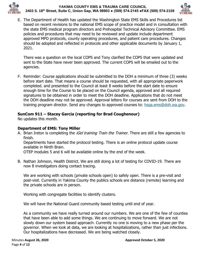



E. The Department of Health has updated the Washington State EMS Skills and Procedures list based on recent revisions to the national EMS scope of practice model and in consultation with the state EMS medical program directors and Prehospital Technical Advisory Committee. EMS policies and procedures that may need to be reviewed and update include department approved MPD protocols, county operating procedures, and patient care procedures. Changes should be adopted and reflected in protocols and other applicable documents by January 1, 2021.

There was a question on the local COPS and Tony clarified the COPS that were updated and sent to the State have never been approved. The current COPS will be emailed out to the agencies.

F. Reminder: Course applications should be submitted to the DOH a minimum of three (3) weeks before start date. That means a course should be requested, with all appropriate paperwork completed. and presented to the Council at least 8 weeks before the start date to ensure enough time for the Course to be placed on the Council agenda, approved and all required signatures to be obtained in order to meet the DOH deadline. Applications that do not meet the DOH deadline may not be approved. Approval letters for courses are sent from DOH to the training program director. Send any changes to approved courses to: [hsqa.ems@doh.wa.gov.](mailto:hsqa.ems@doh.wa.gov)

# **SunCom 911 – Stacey Garcia (reporting for Brad Coughenour)**

No updates this month.

## **Department of EMS: Tony Miller**

A. Brian Ireton is completing the *iGel training Train the Trainer*. There are still a few agencies to finish.

Departments have started the protocol testing. There is an online protocol update course available in Ninth Brain.

OTEP modules 5 and 6 will be available online by the end of the week.

B. Nathan Johnson, Health District. We are still doing a lot of testing for COVID-19. There are now 8 investigators doing contact tracing.

We are working with schools (private schools open) to safely open. There is a pre-visit and post-visit. Currently in Yakima County the publics schools are distance (remote) learning and the private schools are in person.

Working with congregate facilities to identify clusters.

We will have the National Guard community based testing until end of year.

As a community we have really turned around our numbers. We are one of the few of counties that have been able to add some things. We are continuing to move forward. We are not slowly down our system based approach. Currently no one is moving to a new phase per the governor. When we look at data, we are looking at hospitalizations, rather than just infections. Our hospitalizations have decreased. We are being watched closely.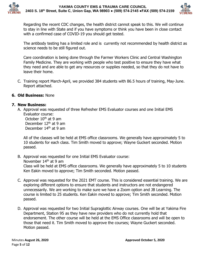



Regarding the recent CDC changes, the health district cannot speak to this. We will continue to stay in line with State and if you have symptoms or think you have been in close contact with a confirmed case of COVID-19 you should get tested.

The antibody testing has a limited role and is currently not recommended by health district as science needs to be still figured out.

Care coordination is being done through the Farmer Workers Clinic and Central Washington Family Medicine. They are working with people who test positive to ensure they have what they need and are able to get any resources or supplies needed, so that they do not have to leave their home.

C. Training report March-April, we provided 384 students with 86.5 hours of training, May-June. Report attached.

# **6. Old Business:** None

## **7. New Business:**

A. Approval was requested of three Refresher EMS Evaluator courses and one Initial EMS Evaluator course: October  $10<sup>th</sup>$  at 9 am

December 12<sup>th</sup> at 9 am December 14<sup>th</sup> at 9 am

All of the classes will be held at EMS office classrooms. We generally have approximately 5 to 10 students for each class. Tim Smith moved to approve; Wayne Guckert seconded. Motion passed.

- B. Approval was requested for one Initial EMS Evaluator course: November 14th at 9 am Class will be held at EMS office classrooms. We generally have approximately 5 to 10 students Ken Eakin moved to approve; Tim Smith seconded. Motion passed.
- C. Approval was requested for the 2021 EMT course. This is considered essential training. We are exploring different options to ensure that students and instructors are not endangered unnecessarily. We are working to make sure we have a Zoom option and JB Learning. The course is limited to 25 students. Ken Eakin moved to approve; Tim Smith seconded. Motion passed.
- D. Approval was requested for two Initial Supraglottic Airway courses. One will be at Yakima Fire Department, Station 95 as they have new providers who do not currently hold that endorsement. The other course will be held at the EMS Office classrooms and will be open to those that need it. Tim Smith moved to approve the courses; Wayne Guckert seconded. Motion passed.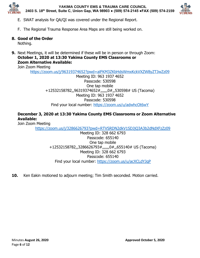



- E. SWAT analysis for QA/QI was covered under the Regional Report.
- F. The Regional Trauma Response Area Maps are still being worked on.

# **8. Good of the Order**

Nothing.

**9.** Next Meetings, it will be determined if these will be in person or through Zoom: **October 1, 2020 at 13:30 Yakima County EMS Classrooms or Zoom Alternative Available:**

Join Zoom Meeting

<https://zoom.us/j/96319374652?pwd=alFKM3ZKbHdsWmxKckVXZW8yZTJwZz09>

Meeting ID: 963 1937 4652 Passcode: 530598 One tap mobile +12532158782,,96319374652#,,,,,,0#,,530598# US (Tacoma) Meeting ID: 963 1937 4652 Passcode: 530598 Find your local number:<https://zoom.us/u/adwhcOt6wY>

# **December 3, 2020 at 13:30 Yakima County EMS Classrooms or Zoom Alternative Available:**

Join Zoom Meeting

<https://zoom.us/j/3286626793?pwd=RTVSRDN2dkV1SDJjQ3A3b2dNdXFzZz09>

Meeting ID: 328 662 6793 Passcode: 655140 One tap mobile +12532158782,,3286626793#,,,,,,0#,,655140# US (Tacoma) Meeting ID: 328 662 6793 Passcode: 655140 Find your local number:<https://zoom.us/u/acXCLdYJqP>

**10.** Ken Eakin motioned to adjourn meeting; Tim Smith seconded. Motion carried.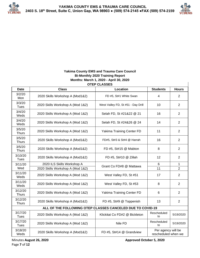

## **Yakima County EMS and Trauma Care Council Bi-Monthly 2020 Training Report Months: March 1, 2020 - April 30, 2020**

| <b>Date</b>             | <b>Class</b>                                               | Location                           | <b>Students</b>                           | <b>Hours</b>   |
|-------------------------|------------------------------------------------------------|------------------------------------|-------------------------------------------|----------------|
| 3/2/20<br>Mon           | 2020 Skills Workshop A (Mod1&2)                            | FD #5, St#1 White Swan             | 4                                         | $\overline{2}$ |
| 3/3/20<br>Tues          | 2020 Skills Workshop A (Mod 1&2)                           | West Valley FD, St #51 - Day Drill | 10                                        | 2              |
| 3/4/20<br>Weds          | 2020 Skills Workshop A (Mod 1&2)                           | Selah FD, St #21&22 @ 21           | 16                                        | 2              |
| 3/4/20<br>Weds          | 2020 Skills Workshop A (Mod 1&2)                           | Selah FD, St #24&26 @ 24           | 14                                        | $\overline{2}$ |
| 3/5/20<br><b>Thurs</b>  | 2020 Skills Workshop A (Mod 1&2)                           | Yakima Training Center FD          | 11                                        | $\overline{2}$ |
| 3/5/20<br><b>Thurs</b>  | 2020 Skills Workshop A (Mod1&2)                            | FD#5, St#3 & St#4 @ Harrah         | 16                                        | $\overline{2}$ |
| 3/5/20<br><b>Thurs</b>  | 2020 Skills Workshop A (Mod1&2)                            | FD #5, St#15 @ Mabton              | 8                                         | $\overline{2}$ |
| 3/10/20<br>Tues         | 2020 Skills Workshop A (Mod1&2)                            | FD #5, St#10 @ Zillah              | 12                                        | $\overline{2}$ |
| 3/11/20                 | 2020 ILS Skills Workshop A                                 | Grant Co FD#8 @ Mattawa            | 6                                         | $\mathbf{1}$   |
| Wed                     | 2020 Skills Workshop A (Mod 1&2)                           |                                    | 11                                        | $\overline{2}$ |
| 3/11/20<br>Weds         | 2020 Skills Workshop A (Mod 1&2)                           | West Valley FD, St #51             | 17                                        | $\overline{2}$ |
| 3/11/20<br>Weds         | 2020 Skills Workshop A (Mod 1&2)                           | West Valley FD, St #53             | 8                                         | $\overline{2}$ |
| 3/12/20<br><b>Thurs</b> | 2020 Skills Workshop A (Mod 1&2)                           | Yakima Training Center FD          | 6                                         | $\overline{2}$ |
| 3/12/20<br><b>Thurs</b> | 2020 Skills Workshop A (Mod1&2)                            | FD #5, St#9 @ Toppenish            | 13                                        | $\overline{2}$ |
|                         | ALL OF THE FOLLOWING OTEP CLASSES CANCELED DUE TO COVID-19 |                                    |                                           |                |
| 3/17/20<br>Tues         | 2020 Skills Workshop A (Mod 1&2)                           | Klickitat Co FD#2 @ Bickleton      | Rescheduled<br>to                         | 5/19/2020      |
| 3/17/20<br><b>Tues</b>  | 2020 Skills Workshop A (Mod 1&2)                           | Nile FD                            | Rescheduled<br>to                         | 5/19/2020      |
| 3/18/20<br>Weds         | 2020 Skills Workshop A (Mod1&2)                            | FD #5, St#14 @ Grandview           | Per agency will be<br>rescheduled when we |                |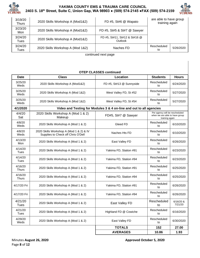



| 3/19/20<br>Thurs | 2020 Skills Workshop A (Mod1&2)  | FD #5, St#6 @ Wapato                     | are able to have group<br>training again |           |
|------------------|----------------------------------|------------------------------------------|------------------------------------------|-----------|
| 3/23/20<br>Mon   | 2020 Skills Workshop A (Mod1&2)  | FD #5, St#5 & St#7 @ Sawyer              |                                          |           |
| 3/24/20<br>Tues  | 2020 Skills Workshop A (Mod1&2)  | FD #5, St#11, St#12 & St#16 @<br>Outlook |                                          |           |
| 3/24/20<br>Tues  | 2020 Skills Workshop A (Mod 1&2) | Naches FD                                | Rescheduled<br>to                        | 5/26/2020 |

continued next page

### **OTEP CLASSES continued**

| <b>Date</b>             | <b>Class</b>                                                                  | Location                                                            | <b>Students</b>                                                                    | <b>Hours</b>           |  |  |
|-------------------------|-------------------------------------------------------------------------------|---------------------------------------------------------------------|------------------------------------------------------------------------------------|------------------------|--|--|
| 3/25/20<br>Weds         | 2020 Skills Workshop A (Mod1&2)                                               | FD #5, St#13 @ Sunnyside                                            | Rescheduled<br>to                                                                  | 6/24/2020              |  |  |
| 3/25/20<br>Weds         | 2020 Skills Workshop A (Mod 1&2)                                              | West Valley FD, St #52                                              | Rescheduled<br>to                                                                  | 5/27/2020              |  |  |
| 3/25/20<br>Weds         | 2020 Skills Workshop A (Mod 1&2)                                              | West Valley FD, St #54                                              | Rescheduled<br>to                                                                  | 5/27/2020              |  |  |
| 4/1/2020                |                                                                               | Video and Testing for Modules 3 & 4 on-line and out to all agencies |                                                                                    |                        |  |  |
| 4/4/20<br>Sat           | 2020 Skills Workshop A (Mod 1 & 2)<br>Makeup                                  | FD#5, St#7 @ Sawyer                                                 | Per agency will be rescheduled<br>when we are able to have group<br>training again |                        |  |  |
| 4/8/20<br>Weds          | 2020 Skills Workshop A (Mod 1 & 2)                                            | Gleed FD                                                            | Rescheduled<br>to                                                                  | 6/10/2020              |  |  |
| 4/8/20<br>Weds          | 2020 Skills Workshop A (Mod 1 & 2) & IV<br>Supplies to Check off Chris O'Dell | Naches Hts FD                                                       | Rescheduled<br>to                                                                  | 6/10/2020              |  |  |
| 4/13/20<br>Mon          | 2020 Skills Workshop A (Mod 1 & 2)                                            | East Valley FD                                                      | Rescheduled<br>to                                                                  | 6/26/2020              |  |  |
| 4/14/20<br>Tues         | 2020 Skills Workshop A (Mod 1 & 2)                                            | Yakima FD, Station #91                                              | Rescheduled<br>to                                                                  | 6/23/2020              |  |  |
| 4/14/20<br>Tues         | 2020 Skills Workshop A (Mod 1 & 2)                                            | Yakima FD, Station #94                                              | Rescheduled<br>to                                                                  | 6/23/2020              |  |  |
| 4/16/20<br><b>Thurs</b> | 2020 Skills Workshop A (Mod 1 & 2)                                            | Yakima FD, Station #91                                              | Rescheduled<br>to                                                                  | 6/25/2020              |  |  |
| 4/16/20<br><b>Thurs</b> | 2020 Skills Workshop A (Mod 1 & 2)                                            | Yakima FD, Station #94                                              | Rescheduled<br>to                                                                  | 6/25/2020              |  |  |
| 4/17/20 Fri             | 2020 Skills Workshop A (Mod 1 & 2)                                            | Yakima FD, Station #91                                              | Rescheduled<br>to                                                                  | 6/26/2020              |  |  |
| 4/17/20 Fri             | 2020 Skills Workshop A (Mod 1 & 2)                                            | Yakima FD, Station #94                                              | Rescheduled<br>to                                                                  | 6/26/2020              |  |  |
| 4/21/20<br>Tues         | 2020 Skills Workshop A (Mod 1 & 2)                                            | East Valley FD                                                      | Rescheduled<br>to                                                                  | $6/16/20$ &<br>7/21/20 |  |  |
| 4/21/20<br>Tues         | 2020 Skills Workshop A (Mod 1 & 2)                                            | Highland FD @ Cowiche                                               | Rescheduled<br>to                                                                  | 6/16/2020              |  |  |
| 4/29/20<br>Weds         | 2020 Skills Workshop A (Mod 1 & 2)                                            | East Valley FD                                                      | Rescheduled<br>to                                                                  | 6/30/2020              |  |  |
|                         |                                                                               | <b>TOTALS</b>                                                       | 152                                                                                | 27.00                  |  |  |
|                         |                                                                               | <b>AVERAGES</b>                                                     | 10.86                                                                              | 1.93                   |  |  |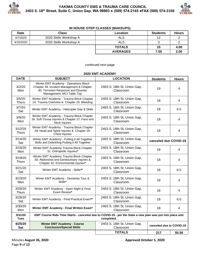



## **IN HOUSE OTEP CLASSES (MAKEUPS)**

| <b>Date</b> | <b>Class</b>           | <b>Location</b> | <b>Students</b> | <b>Hours</b> |
|-------------|------------------------|-----------------|-----------------|--------------|
| 4/7/2020    | 2020 Skills Workshop A | ALS             | 12              |              |
| 4/10/2020   | 2020 Skills Workshop A | <b>ALS</b>      |                 |              |
|             |                        | <b>TOTALS</b>   | 15              | 4.00         |
|             |                        | <b>AVERAGES</b> | 7.50            | 2.00         |

### continued next page

#### **2020 EMT ACADEMY**

| <b>DATE</b>             | <b>SUBJECT</b>                                                                                                                                         | <b>LOCATION</b>                          | <b>Students</b>          | <b>Hours</b> |
|-------------------------|--------------------------------------------------------------------------------------------------------------------------------------------------------|------------------------------------------|--------------------------|--------------|
| 3/2/20<br>Mon           | Winter EMT Academy - Operations Block<br>Chapter 39: Incident Management & Chapter<br>40: Terrorism Response and Disaster<br>Management, MCI Table Top | 2403 S. 18th St, Union Gap,<br>Classroom | 19                       | 4            |
| 3/5/20<br><b>Thurs</b>  | Winter EMT Academy - Trauma Block Chapter<br>24: Trauma Overview & Chapter 25: Bleeding                                                                | 2403 S. 18th St, Union Gap,<br>Classroom | 18                       | 4            |
| 3/7/20<br>Sat           | Winter EMT Academy - Helicopter Day & Skills                                                                                                           | 2403 S. 18th St, Union Gap,<br>Classroom | 18                       | 6.5          |
| 3/9/20<br>Mon           | Winter EMT Academy - Trauma Block Chapter<br>26: Soft-Tissue Injuries & Chapter 27: Face and<br>Neck Injuries                                          | 2403 S. 18th St, Union Gap,<br>Classroom | 18                       | 4            |
| 3/12/20<br><b>Thurs</b> | Winter EMT Academy - Trauma Block Chapter<br>28: Head and Spine Injuries & Chapter 29:<br><b>Chest Injuries</b>                                        | 2403 S. 18th St, Union Gap,<br>Classroom | 18                       | 4            |
| 3/14/20<br>Sat          | Winter EMT Academy - Putting it All Together<br>Skills and Debriefing Putting it All Together                                                          | 2403 S. 18th St, Union Gap,<br>Classroom | canceled due COVID-19    |              |
| 3/16/20<br>Mon          | Winter EMT Academy Trauma Block Chapter<br>31: Orthopedic Injuries*                                                                                    | 2403 S. 18th St, Union Gap,<br>Classroom | 18                       | 4            |
| 3/19/20<br><b>Thurs</b> | Winter EMT Academy Trauma Block Chapter<br>30: Abdominal and Genitourinary Injuries &<br>Chapter 32: Environmental Injuries*                           | 2403 S. 18th St, Union Gap,<br>Classroom | 18                       | 4            |
| 3/21/20<br>Sat          | Winter EMT Academy - Skills**                                                                                                                          | 2403 S. 18th St, Union Gap,<br>Classroom | 18                       | 6.5          |
| 3/23/20<br>Mon          | Winter EMT Academy - Dementia Tour &<br>Skills*                                                                                                        | 2403 S. 18th St, Union Gap,<br>Classroom | 18                       | 4            |
| 3/26/20<br><b>Thurs</b> | Winter EMT Academy - Open Night & Final<br>Exam Review*                                                                                                | 2403 S. 18th St, Union Gap,<br>Classroom | 18                       | 4            |
| 3/28/20<br>Sat          | Winter EMT Academy - Final Practical Exam**                                                                                                            | 2403 S. 18th St, Union Gap,<br>Classroom | 18                       | 6.5          |
| 3/30/20<br>Mon          | Winter EMT Academy - Final Written Exam*                                                                                                               | 2403 S. 18th St, Union Gap,<br>Classroom | 18                       | 4            |
| 3/31/20<br><b>Tues</b>  | EMT Course Ride Time Starts - canceled due to COVID-19 - per the State a new plan was put into place and                                               | completed.                               |                          |              |
| 4/25/20<br><b>Sat</b>   | <b>Winter EMT Academy - Course</b><br><b>Conclusion/Special Skills</b>                                                                                 | 2403 S. 18th St, Union Gap,<br>Classroom | canceled due to COVID-19 |              |
|                         |                                                                                                                                                        | <b>TOTALS</b>                            | 217                      | 55.50        |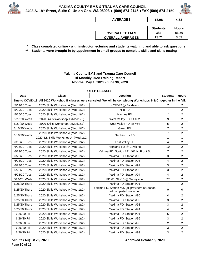



| <b>AVERAGES</b>         | 18.08           | 4.63         |
|-------------------------|-----------------|--------------|
|                         |                 |              |
|                         | <b>Students</b> | <b>Hours</b> |
| <b>OVERALL TOTALS</b>   | 384             | 86.50        |
| <b>OVERALL AVERAGES</b> | 13.71           | 3.09         |

**\* Class completed online - with instructor lecturing and students watching and able to ask questions**

**\*\* Students were brought in by appointment in small groups to complete skills and skills testing**

### **Yakima County EMS and Trauma Care Council Bi-Monthly 2020 Training Report Months: May 1, 2020 - June 30, 2020**

| <b>OTEP CLASSES</b> |                                      |                                                                                                                        |                 |                |  |  |  |
|---------------------|--------------------------------------|------------------------------------------------------------------------------------------------------------------------|-----------------|----------------|--|--|--|
| <b>Date</b>         | <b>Class</b>                         | Location                                                                                                               | <b>Students</b> | <b>Hours</b>   |  |  |  |
|                     |                                      | Due to COVID-19 All 2020 Workshop B classes were canceled. We will be completing Workshops B & C together in the fall. |                 |                |  |  |  |
| 5/19/20 Tues        | 2020 Skills Workshop A (Mod 1&2)     | KCFD#2 @ Bickleton                                                                                                     | $\overline{7}$  | $\overline{2}$ |  |  |  |
| 5/19/20 Tues        | 2020 Skills Workshop A (Mod 1&2)     | Nile FD                                                                                                                | $\overline{7}$  | 2              |  |  |  |
| 5/26/20 Tues        | 2020 Skills Workshop A (Mod 1&2)     | Naches FD                                                                                                              | 11              | 2              |  |  |  |
| 5/27/20 Weds        | 2020 Skills Workshop A (Mod1&2)      | West Valley FD, St #52                                                                                                 | 9               | $\overline{2}$ |  |  |  |
| 5/27/20 Weds        | 2020 Skills Workshop A (Mod1&2)      | West Valley FD, St #54                                                                                                 | 5               | 2              |  |  |  |
| 6/10/20 Weds        | 2020 Skills Workshop A (Mod 1&2)     | Gleed FD                                                                                                               | $\overline{7}$  | $\overline{2}$ |  |  |  |
|                     | 2020 Skills Workshop A (Mod 1&2)     |                                                                                                                        | $\overline{7}$  | $\overline{2}$ |  |  |  |
| 6/10/20 Weds        | 2020 ILS Skills Workshop A (Mod 1&2) | Naches Hts FD                                                                                                          | 1               | 1              |  |  |  |
| 6/16/20 Tues        | 2020 Skills Workshop A (Mod 1&2)     | East Valley FD                                                                                                         | 4               | 2              |  |  |  |
| 6/16/20 Tues        | 2020 Skills Workshop A (Mod 1&2)     | Highland FD @ Cowiche                                                                                                  | 10              | $\overline{a}$ |  |  |  |
| 6/23/20 Tues        | 2020 Skills Workshop A (Mod 1&2)     | Yakima FD, Station #91 401 N. Front St                                                                                 | $\overline{7}$  | 2              |  |  |  |
| 6/23/20 Tues        | 2020 Skills Workshop A (Mod 1&2)     | Yakima FD, Station #95                                                                                                 | 3               | $\overline{2}$ |  |  |  |
| 6/23/20 Tues        | 2020 Skills Workshop A (Mod 1&2)     | Yakima FD, Station #96                                                                                                 | 4               | 2              |  |  |  |
| 6/23/20 Tues        | 2020 Skills Workshop A (Mod 1&2)     | Yakima FD, Station #92                                                                                                 | 3               | 2              |  |  |  |
| 6/23/20 Tues        | 2020 Skills Workshop A (Mod 1&2)     | Yakima FD, Station #93                                                                                                 | 3               | $\overline{2}$ |  |  |  |
| 6/23/20 Tues        | 2020 Skills Workshop A (Mod 1&2)     | Yakima FD, Station #94                                                                                                 | 4               | 2              |  |  |  |
| 6/24/20 Weds        | 2020 Skills Workshop A (Mod 1&2)     | FD #5, St #13 @ Sunnyside                                                                                              | 27              | $\overline{c}$ |  |  |  |
| 6/25/20 Thurs       | 2020 Skills Workshop A (Mod 1&2)     | Yakima FD, Station #91                                                                                                 | $\overline{7}$  | 2              |  |  |  |
| 6/25/20 Thurs       | 2020 Skills Workshop A (Mod 1&2)     | Yakima FD, Station #95 (all providers at Station<br>had completed workshop)                                            | $\mathbf 0$     | 0              |  |  |  |
| 6/25/20 Thurs       | 2020 Skills Workshop A (Mod 1&2)     | Yakima FD, Station #96                                                                                                 | 4               | 2              |  |  |  |
| 6/25/20 Thurs       | 2020 Skills Workshop A (Mod 1&2)     | Yakima FD, Station #92                                                                                                 | 3               | 2              |  |  |  |
| 6/25/20 Thurs       | 2020 Skills Workshop A (Mod 1&2)     | Yakima FD, Station #93                                                                                                 | 3               | 2              |  |  |  |
| 6/25/20 Thurs       | 2020 Skills Workshop A (Mod 1&2)     | Yakima FD, Station #94                                                                                                 | 4               | 2              |  |  |  |
| 6/26/20 Fri         | 2020 Skills Workshop A (Mod 1&2)     | Yakima FD, Station #91                                                                                                 | 6               | 2              |  |  |  |
| 6/26/20 Fri         | 2020 Skills Workshop A (Mod 1&2)     | Yakima FD, Station #95                                                                                                 | 3               | 2              |  |  |  |
| 6/26/20 Fri         | 2020 Skills Workshop A (Mod 1&2)     | Yakima FD, Station #96                                                                                                 | $\overline{c}$  | 2              |  |  |  |
| 6/26/20 Fri         | 2020 Skills Workshop A (Mod 1&2)     | Yakima FD, Station #92                                                                                                 | 3               | 2              |  |  |  |
| 6/26/20 Fri         | 2020 Skills Workshop A (Mod 1&2)     | Yakima FD, Station #93                                                                                                 | 3               | 2              |  |  |  |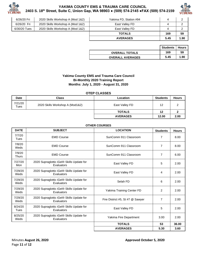



| 6/26/20 Fri  | 2020 Skills Workshop A (Mod 1&2) | Yakima FD, Station #94 |      |      |
|--------------|----------------------------------|------------------------|------|------|
| 6/26/20 Fri  | 2020 Skills Workshop A (Mod 1&2) | East Valley FD         |      |      |
| 6/30/20 Tues | 2020 Skills Workshop A (Mod 1&2) | East Valley FD         |      |      |
|              |                                  | <b>TOTALS</b>          | 169  | 59   |
|              |                                  | <b>AVERAGES</b>        | 5.45 | 1.90 |

|                         | <b>Students   Hours</b> |      |
|-------------------------|-------------------------|------|
| <b>OVERALL TOTALS</b>   | 169                     | 59   |
| <b>OVERALL AVERAGES</b> | 5.45                    | 1.90 |

## **Yakima County EMS and Trauma Care Council Bi-Monthly 2020 Training Report Months: July 1, 2020 - August 31, 2020**

#### **OTEP CLASSES**

| <b>Date</b>            | <b>Class</b>                    | Location        | <b>Students</b> | <b>Hours</b> |
|------------------------|---------------------------------|-----------------|-----------------|--------------|
| 7/21/20<br><b>Tues</b> | 2020 Skills Workshop A (Mod1&2) | East Valley FD  | 12              |              |
|                        |                                 | <b>TOTALS</b>   | 12              |              |
|                        |                                 | <b>AVERAGES</b> | 12.00           | 2.00         |

#### **OTHER COURSES**

| <b>DATE</b>            | <b>SUBJECT</b>                                          | <b>LOCATION</b>                  | <b>Students</b> | <b>Hours</b> |
|------------------------|---------------------------------------------------------|----------------------------------|-----------------|--------------|
| 7/7/20<br>Tues         | <b>EMD Course</b>                                       | SunComm 911 Classroom            | 7               | 8.00         |
| 7/8/20<br>Weds         | <b>EMD Course</b>                                       | SunComm 911 Classroom            | $\overline{7}$  | 8.00         |
| 7/9/20<br><b>Thurs</b> | <b>EMD Course</b>                                       | SunComm 911 Classroom            | $\overline{7}$  | 6.00         |
| 7/27/20<br>Mon         | 2020 Supraglottic iGel® Skills Update for<br>Evaluators | East Valley FD                   | 5               | 2.00         |
| 7/29/20<br>Weds        | 2020 Supraglottic iGel® Skills Update for<br>Evaluators | East Valley FD                   | 4               | 2.00         |
| 7/29/20<br>Weds        | 2020 Supraglottic iGel® Skills Update for<br>Evaluators | Selah FD                         | 6               | 2.00         |
| 7/29/20<br>Weds        | 2020 Supraglottic iGel® Skills Update for<br>Evaluators | Yakima Training Center FD        | $\overline{2}$  | 2.00         |
| 7/29/20<br>Weds        | 2020 Supraglottic iGel® Skills Update for<br>Evaluators | Fire District #5, St #7 @ Sawyer | $\overline{7}$  | 2.00         |
| 8/24/20<br>Tues        | 2020 Supraglottic iGel® Skills Update for<br>Evaluators | East Valley FD                   | 5               | 2.00         |
| 8/25/20<br>Weds        | 2020 Supraglottic iGel® Skills Update for<br>Evaluators | Yakima Fire Department           | 3.00            | 2.00         |
|                        |                                                         | <b>TOTALS</b>                    | 53              | 36.00        |
|                        |                                                         | <b>AVERAGES</b>                  | 5.30            | 3.60         |